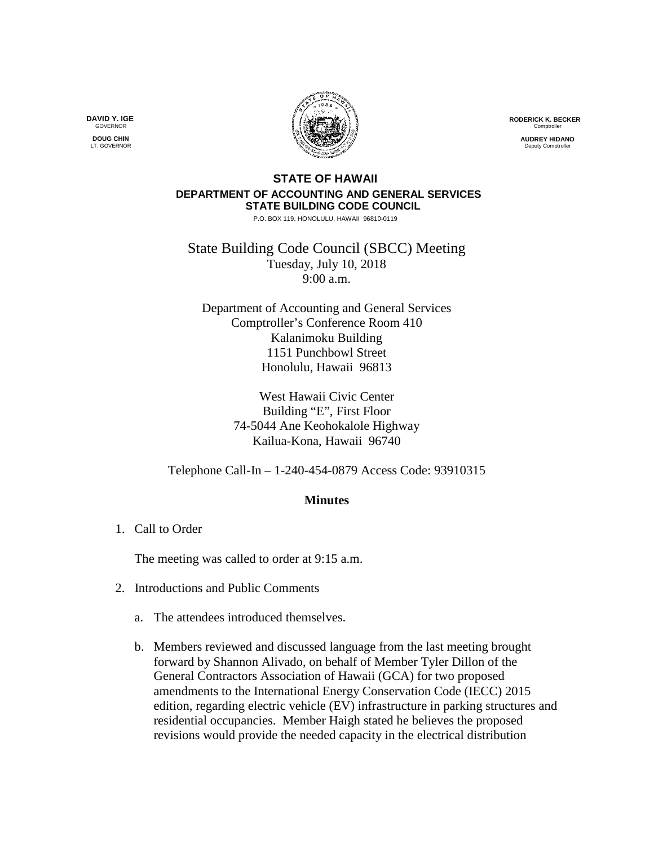**RODERICK K. BECKER** Comptrolle

> **AUDREY HIDANO** .<br>Deputy Comptro

## **STATE OF HAWAII DEPARTMENT OF ACCOUNTING AND GENERAL SERVICES STATE BUILDING CODE COUNCIL**

P.O. BOX 119, HONOLULU, HAWAII 96810-0119

State Building Code Council (SBCC) Meeting Tuesday, July 10, 2018 9:00 a.m.

Department of Accounting and General Services Comptroller's Conference Room 410 Kalanimoku Building 1151 Punchbowl Street Honolulu, Hawaii 96813

> West Hawaii Civic Center Building "E", First Floor 74-5044 Ane Keohokalole Highway Kailua-Kona, Hawaii 96740

Telephone Call-In – 1-240-454-0879 Access Code: 93910315

## **Minutes**

1. Call to Order

The meeting was called to order at 9:15 a.m.

- 2. Introductions and Public Comments
	- a. The attendees introduced themselves.
	- b. Members reviewed and discussed language from the last meeting brought forward by Shannon Alivado, on behalf of Member Tyler Dillon of the General Contractors Association of Hawaii (GCA) for two proposed amendments to the International Energy Conservation Code (IECC) 2015 edition, regarding electric vehicle (EV) infrastructure in parking structures and residential occupancies. Member Haigh stated he believes the proposed revisions would provide the needed capacity in the electrical distribution

**DAVID Y. IGE GOVERNOR** 

**DOUG CHIN** LT. GOVERNOR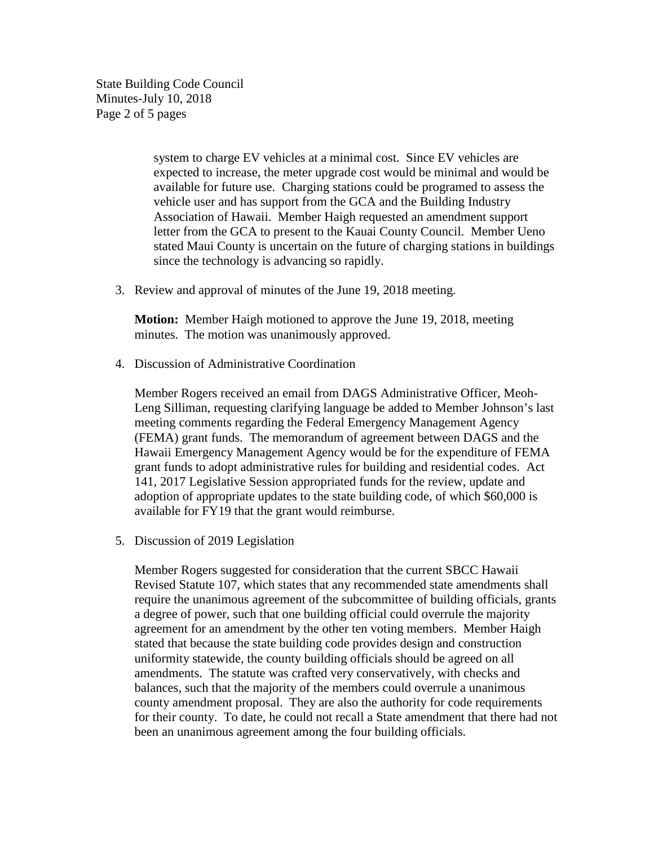State Building Code Council Minutes-July 10, 2018 Page 2 of 5 pages

> system to charge EV vehicles at a minimal cost. Since EV vehicles are expected to increase, the meter upgrade cost would be minimal and would be available for future use. Charging stations could be programed to assess the vehicle user and has support from the GCA and the Building Industry Association of Hawaii. Member Haigh requested an amendment support letter from the GCA to present to the Kauai County Council. Member Ueno stated Maui County is uncertain on the future of charging stations in buildings since the technology is advancing so rapidly.

3. Review and approval of minutes of the June 19, 2018 meeting.

**Motion:** Member Haigh motioned to approve the June 19, 2018, meeting minutes. The motion was unanimously approved.

4. Discussion of Administrative Coordination

Member Rogers received an email from DAGS Administrative Officer, Meoh-Leng Silliman, requesting clarifying language be added to Member Johnson's last meeting comments regarding the Federal Emergency Management Agency (FEMA) grant funds. The memorandum of agreement between DAGS and the Hawaii Emergency Management Agency would be for the expenditure of FEMA grant funds to adopt administrative rules for building and residential codes. Act 141, 2017 Legislative Session appropriated funds for the review, update and adoption of appropriate updates to the state building code, of which \$60,000 is available for FY19 that the grant would reimburse.

5. Discussion of 2019 Legislation

Member Rogers suggested for consideration that the current SBCC Hawaii Revised Statute 107, which states that any recommended state amendments shall require the unanimous agreement of the subcommittee of building officials, grants a degree of power, such that one building official could overrule the majority agreement for an amendment by the other ten voting members. Member Haigh stated that because the state building code provides design and construction uniformity statewide, the county building officials should be agreed on all amendments. The statute was crafted very conservatively, with checks and balances, such that the majority of the members could overrule a unanimous county amendment proposal. They are also the authority for code requirements for their county. To date, he could not recall a State amendment that there had not been an unanimous agreement among the four building officials.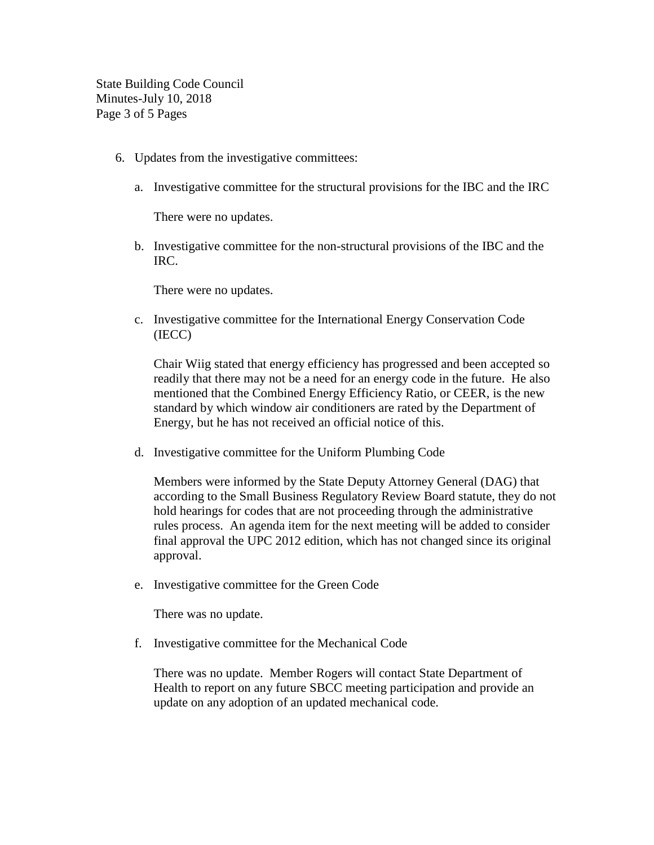State Building Code Council Minutes-July 10, 2018 Page 3 of 5 Pages

- 6. Updates from the investigative committees:
	- a. Investigative committee for the structural provisions for the IBC and the IRC

There were no updates.

b. Investigative committee for the non-structural provisions of the IBC and the IRC.

There were no updates.

c. Investigative committee for the International Energy Conservation Code (IECC)

Chair Wiig stated that energy efficiency has progressed and been accepted so readily that there may not be a need for an energy code in the future. He also mentioned that the Combined Energy Efficiency Ratio, or CEER, is the new standard by which window air conditioners are rated by the Department of Energy, but he has not received an official notice of this.

d. Investigative committee for the Uniform Plumbing Code

Members were informed by the State Deputy Attorney General (DAG) that according to the Small Business Regulatory Review Board statute, they do not hold hearings for codes that are not proceeding through the administrative rules process. An agenda item for the next meeting will be added to consider final approval the UPC 2012 edition, which has not changed since its original approval.

e. Investigative committee for the Green Code

There was no update.

f. Investigative committee for the Mechanical Code

There was no update. Member Rogers will contact State Department of Health to report on any future SBCC meeting participation and provide an update on any adoption of an updated mechanical code.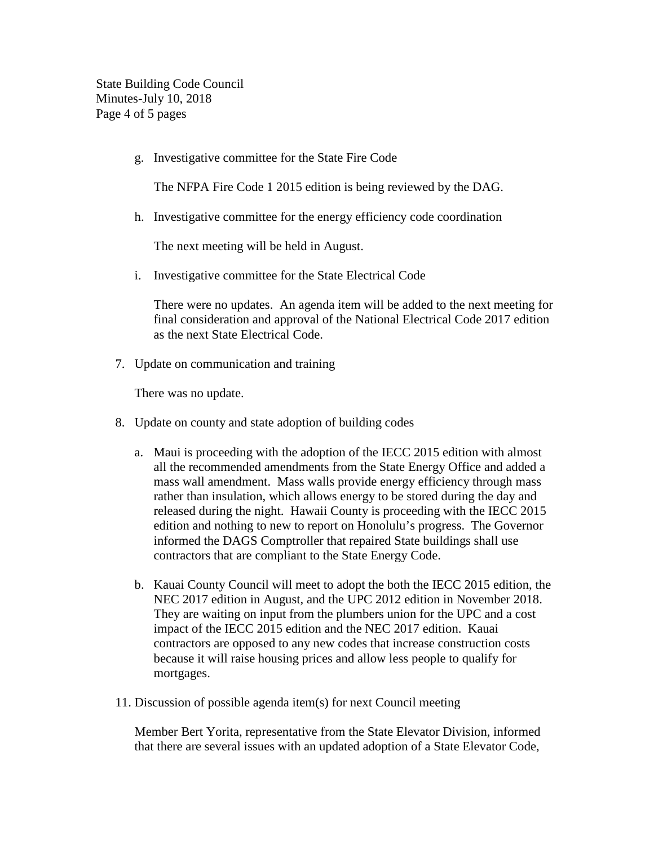State Building Code Council Minutes-July 10, 2018 Page 4 of 5 pages

g. Investigative committee for the State Fire Code

The NFPA Fire Code 1 2015 edition is being reviewed by the DAG.

h. Investigative committee for the energy efficiency code coordination

The next meeting will be held in August.

i. Investigative committee for the State Electrical Code

There were no updates. An agenda item will be added to the next meeting for final consideration and approval of the National Electrical Code 2017 edition as the next State Electrical Code.

7. Update on communication and training

There was no update.

- 8. Update on county and state adoption of building codes
	- a. Maui is proceeding with the adoption of the IECC 2015 edition with almost all the recommended amendments from the State Energy Office and added a mass wall amendment. Mass walls provide energy efficiency through mass rather than insulation, which allows energy to be stored during the day and released during the night. Hawaii County is proceeding with the IECC 2015 edition and nothing to new to report on Honolulu's progress. The Governor informed the DAGS Comptroller that repaired State buildings shall use contractors that are compliant to the State Energy Code.
	- b. Kauai County Council will meet to adopt the both the IECC 2015 edition, the NEC 2017 edition in August, and the UPC 2012 edition in November 2018. They are waiting on input from the plumbers union for the UPC and a cost impact of the IECC 2015 edition and the NEC 2017 edition. Kauai contractors are opposed to any new codes that increase construction costs because it will raise housing prices and allow less people to qualify for mortgages.
- 11. Discussion of possible agenda item(s) for next Council meeting

Member Bert Yorita, representative from the State Elevator Division, informed that there are several issues with an updated adoption of a State Elevator Code,